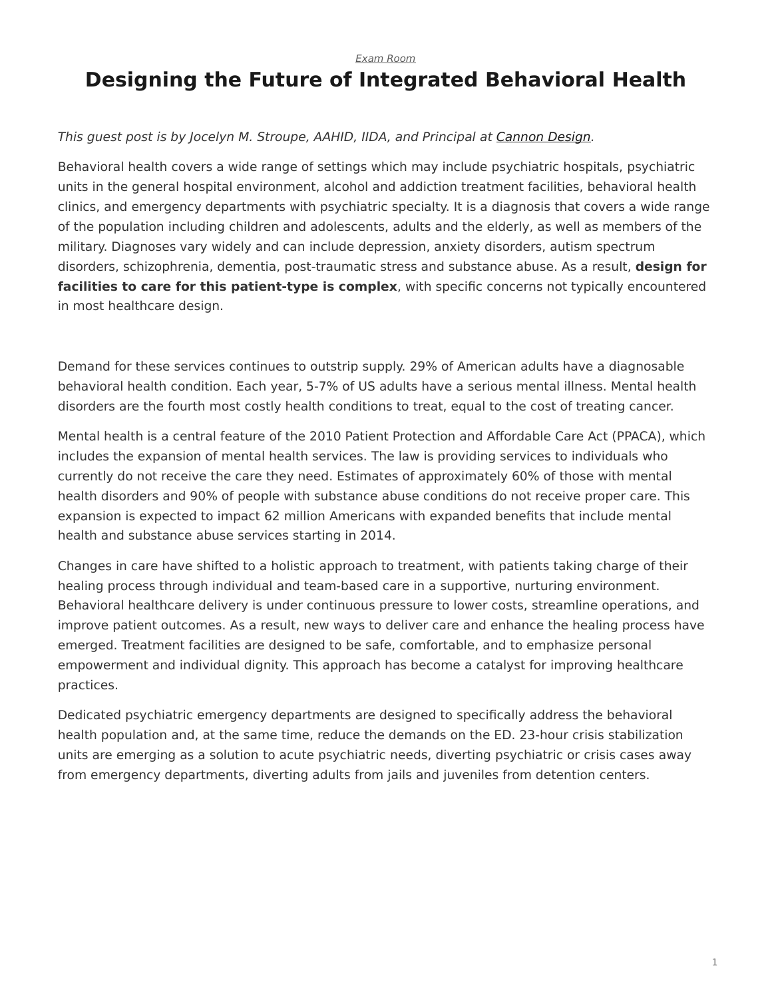*[Exam Room](https://www.steelcase.com/research/topics/medical-exam-room/)*

## <span id="page-0-0"></span>**Designing the Future of Integrated Behavioral Health**

## *This guest post is by Jocelyn M. Stroupe, AAHID, IIDA, and Principal at [Cannon Design.](http://cannondesign.com/)*

Behavioral health covers a wide range of settings which may include psychiatric hospitals, psychiatric units in the general hospital environment, alcohol and addiction treatment facilities, behavioral health clinics, and emergency departments with psychiatric specialty. It is a diagnosis that covers a wide range of the population including children and adolescents, adults and the elderly, as well as members of the military. Diagnoses vary widely and can include depression, anxiety disorders, autism spectrum disorders, schizophrenia, dementia, post-traumatic stress and substance abuse. As a result, **design for facilities to care for this patient-type is complex**, with specific concerns not typically encountered in most healthcare design.

Demand for these services continues to outstrip supply. 29% of American adults have a diagnosable behavioral health condition. Each year, 5-7% of US adults have a serious mental illness. Mental health disorders are the fourth most costly health conditions to treat, equal to the cost of treating cancer.

Mental health is a central feature of the 2010 Patient Protection and Affordable Care Act (PPACA), which includes the expansion of mental health services. The law is providing services to individuals who currently do not receive the care they need. Estimates of approximately 60% of those with mental health disorders and 90% of people with substance abuse conditions do not receive proper care. This expansion is expected to impact 62 million Americans with expanded benefits that include mental health and substance abuse services starting in 2014.

Changes in care have shifted to a holistic approach to treatment, with patients taking charge of their healing process through individual and team-based care in a supportive, nurturing environment. Behavioral healthcare delivery is under continuous pressure to lower costs, streamline operations, and improve patient outcomes. As a result, new ways to deliver care and enhance the healing process have emerged. Treatment facilities are designed to be safe, comfortable, and to emphasize personal empowerment and individual dignity. This approach has become a catalyst for improving healthcare practices.

Dedicated psychiatric emergency departments are designed to specifically address the behavioral health population and, at the same time, reduce the demands on the ED. 23-hour crisis stabilization units are emerging as a solution to acute psychiatric needs, diverting psychiatric or crisis cases away from emergency departments, diverting adults from jails and juveniles from detention centers.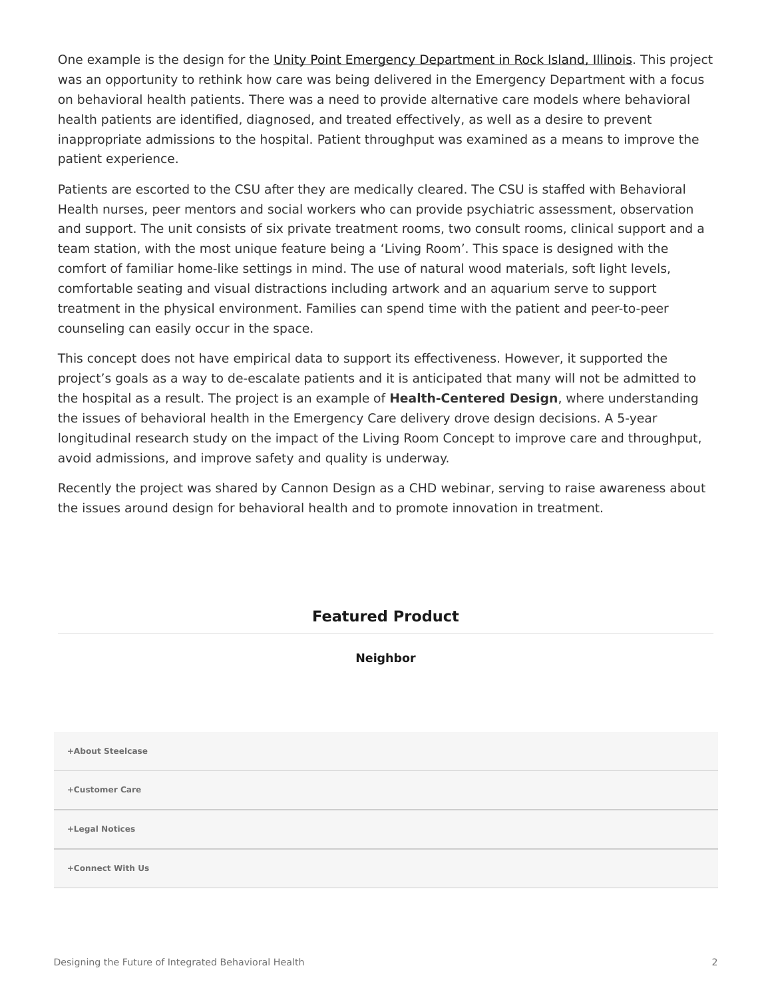One example is the design for the [Unity Point Emergency Department in Rock Island, Illinois.](https://www.unitypoint.org/quadcities/trinity-rock-island.aspx) This project was an opportunity to rethink how care was being delivered in the Emergency Department with a focus on behavioral health patients. There was a need to provide alternative care models where behavioral health patients are identified, diagnosed, and treated effectively, as well as a desire to prevent inappropriate admissions to the hospital. Patient throughput was examined as a means to improve the patient experience.

Patients are escorted to the CSU after they are medically cleared. The CSU is staffed with Behavioral Health nurses, peer mentors and social workers who can provide psychiatric assessment, observation and support. The unit consists of six private treatment rooms, two consult rooms, clinical support and a team station, with the most unique feature being a 'Living Room'. This space is designed with the comfort of familiar home-like settings in mind. The use of natural wood materials, soft light levels, comfortable seating and visual distractions including artwork and an aquarium serve to support treatment in the physical environment. Families can spend time with the patient and peer-to-peer counseling can easily occur in the space.

This concept does not have empirical data to support its effectiveness. However, it supported the project's goals as a way to de-escalate patients and it is anticipated that many will not be admitted to the hospital as a result. The project is an example of **Health-Centered Design**, where understanding the issues of behavioral health in the Emergency Care delivery drove design decisions. A 5-year longitudinal research study on the impact of the Living Room Concept to improve care and throughput, avoid admissions, and improve safety and quality is underway.

Recently the project was shared by Cannon Design as a CHD webinar, serving to raise awareness about the issues around design for behavioral health and to promote innovation in treatment.

## **Featured Product**

## **[Neighbor](https://www.steelcase.com/products/healthcare-seating/neighbor/)**

**[+About Steelcase](https://www.steelcase.com/discover/steelcase/our-company/)**

**[+Customer Care](#page-0-0)**

**[+Legal Notices](#page-0-0)**

**[Connect With Us](https://www.steelcase.com/find-us/social-media/) [+](https://www.steelcase.com/find-us/social-media/)**